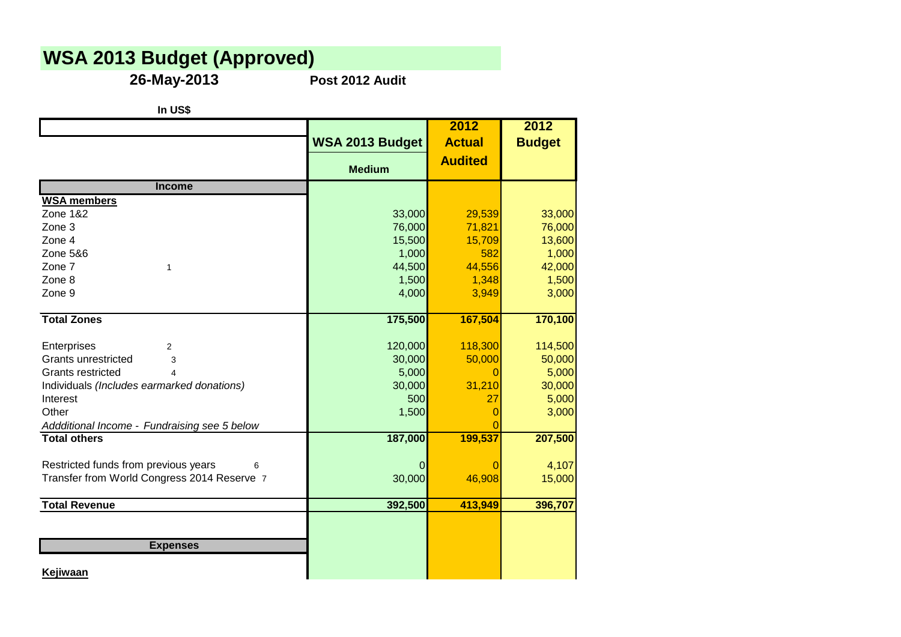## **WSA 2013 Budget (Approved)**

**26-May-2013 Post 2012 Audit**

|                                              | WSA 2013 Budget | 2012<br><b>Actual</b> | 2012<br><b>Budget</b> |
|----------------------------------------------|-----------------|-----------------------|-----------------------|
|                                              | <b>Medium</b>   | <b>Audited</b>        |                       |
| <b>Income</b>                                |                 |                       |                       |
| <b>WSA members</b>                           |                 |                       |                       |
| <b>Zone 1&amp;2</b>                          | 33,000          | 29,539                | 33,000                |
| Zone 3                                       | 76,000          | 71,821                | 76,000                |
| Zone 4                                       | 15,500          | 15,709                | 13,600                |
| Zone 5&6                                     | 1,000           | 582                   | 1,000                 |
| Zone 7<br>1                                  | 44,500          | 44,556                | 42,000                |
| Zone 8                                       | 1,500           | 1,348                 | 1,500                 |
| Zone 9                                       | 4,000           | 3,949                 | 3,000                 |
| <b>Total Zones</b>                           | 175,500         | 167,504               | 170,100               |
| Enterprises<br>$\overline{2}$                | 120,000         | 118,300               | 114,500               |
| Grants unrestricted<br>3                     | 30,000          | 50,000                | 50,000                |
| <b>Grants restricted</b><br>4                | 5,000           | 0                     | 5,000                 |
| Individuals (Includes earmarked donations)   | 30,000          | 31,210                | 30,000                |
| Interest                                     | 500             | 27                    | 5,000                 |
| Other                                        | 1,500           | 0                     | 3,000                 |
| Addditional Income - Fundraising see 5 below |                 |                       |                       |
| <b>Total others</b>                          | 187,000         | 199,537               | 207,500               |
| Restricted funds from previous years<br>6    | O               |                       | 4,107                 |
| Transfer from World Congress 2014 Reserve 7  | 30,000          | 46,908                | 15,000                |
| <b>Total Revenue</b>                         | 392,500         | 413,949               | 396,707               |
|                                              |                 |                       |                       |
| <b>Expenses</b>                              |                 |                       |                       |
| Kejiwaan                                     |                 |                       |                       |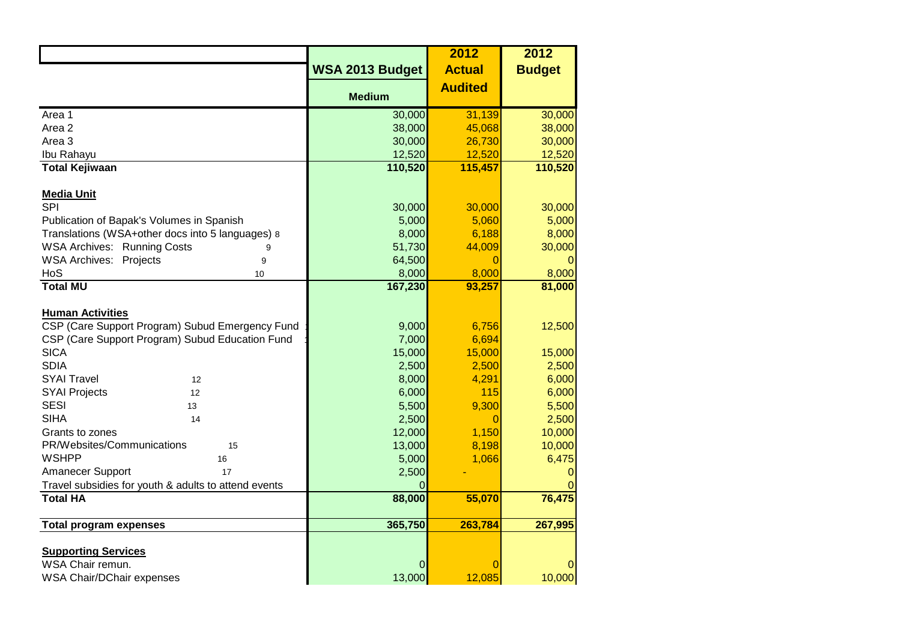|                                                      |                        | 2012           | 2012          |
|------------------------------------------------------|------------------------|----------------|---------------|
|                                                      | <b>WSA 2013 Budget</b> | <b>Actual</b>  | <b>Budget</b> |
|                                                      |                        | <b>Audited</b> |               |
|                                                      | <b>Medium</b>          |                |               |
| Area 1                                               | 30,000                 | 31,139         | 30,000        |
| Area <sub>2</sub>                                    | 38,000                 | 45,068         | 38,000        |
| Area 3                                               | 30,000                 | 26,730         | 30,000        |
| Ibu Rahayu                                           | 12,520                 | 12,520         | 12,520        |
| <b>Total Kejiwaan</b>                                | 110,520                | 115,457        | 110,520       |
|                                                      |                        |                |               |
| <b>Media Unit</b>                                    |                        |                |               |
| <b>SPI</b>                                           | 30,000                 | 30,000         | 30,000        |
| Publication of Bapak's Volumes in Spanish            | 5,000                  | 5,060          | 5,000         |
| Translations (WSA+other docs into 5 languages) 8     | 8,000                  | 6,188          | 8,000         |
| <b>WSA Archives: Running Costs</b><br>9              | 51,730                 | 44,009         | 30,000        |
| <b>WSA Archives: Projects</b><br>9                   | 64,500                 | 0              |               |
| HoS<br>10                                            | 8,000                  | 8,000          | 8,000         |
| <b>Total MU</b>                                      | 167,230                | 93,257         | 81,000        |
|                                                      |                        |                |               |
| <b>Human Activities</b>                              |                        |                |               |
| CSP (Care Support Program) Subud Emergency Fund      | 9,000                  | 6,756          | 12,500        |
| CSP (Care Support Program) Subud Education Fund      | 7,000                  | 6,694          |               |
| <b>SICA</b>                                          | 15,000                 | 15,000         | 15,000        |
| <b>SDIA</b>                                          | 2,500                  | 2,500          | 2,500         |
| <b>SYAI Travel</b><br>12                             | 8,000                  | 4,291          | 6,000         |
| <b>SYAI Projects</b><br>12                           | 6,000                  | 115            | 6,000         |
| <b>SESI</b><br>13                                    | 5,500                  | 9,300          | 5,500         |
| <b>SIHA</b><br>14                                    | 2,500                  | 0              | 2,500         |
| Grants to zones                                      | 12,000                 | 1,150          | 10,000        |
| PR/Websites/Communications<br>15                     | 13,000                 | 8,198          | 10,000        |
| <b>WSHPP</b><br>16                                   | 5,000                  | 1,066          | 6,475         |
| Amanecer Support<br>17                               | 2,500                  |                |               |
| Travel subsidies for youth & adults to attend events |                        |                |               |
| <b>Total HA</b>                                      | 88,000                 | 55,070         | 76,475        |
|                                                      |                        |                |               |
| <b>Total program expenses</b>                        | 365,750                | 263,784        | 267,995       |
|                                                      |                        |                |               |
| <b>Supporting Services</b>                           |                        |                |               |
| WSA Chair remun.                                     | 0                      |                |               |
| WSA Chair/DChair expenses                            | 13,000                 | 12,085         | 10,000        |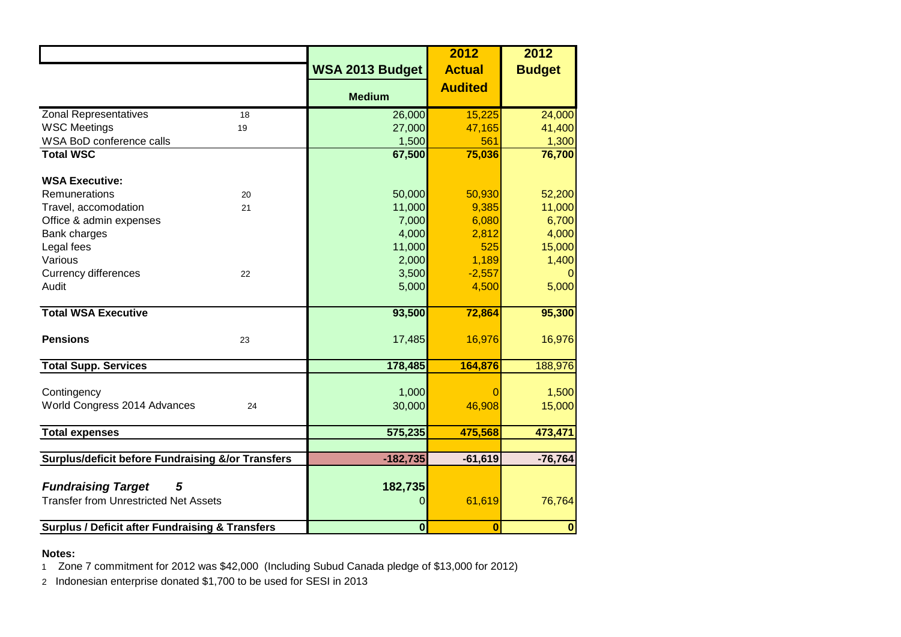|                                                                                |    |                        | 2012           | 2012             |
|--------------------------------------------------------------------------------|----|------------------------|----------------|------------------|
|                                                                                |    | <b>WSA 2013 Budget</b> | <b>Actual</b>  | <b>Budget</b>    |
|                                                                                |    | <b>Medium</b>          | <b>Audited</b> |                  |
| <b>Zonal Representatives</b>                                                   | 18 | 26,000                 | 15,225         | 24,000           |
| <b>WSC Meetings</b>                                                            | 19 | 27,000                 | 47,165         | 41,400           |
| WSA BoD conference calls                                                       |    | 1,500                  | 561            | 1,300            |
| <b>Total WSC</b>                                                               |    | 67,500                 | 75,036         | 76,700           |
| <b>WSA Executive:</b>                                                          |    |                        |                |                  |
| Remunerations                                                                  | 20 | 50,000                 | 50,930         | 52,200           |
| Travel, accomodation                                                           | 21 | 11,000                 | 9,385          | 11,000           |
| Office & admin expenses                                                        |    | 7,000                  | 6,080          | 6,700            |
| Bank charges                                                                   |    | 4,000                  | 2,812          | 4,000            |
| Legal fees                                                                     |    | 11,000                 | 525            | 15,000           |
| Various                                                                        |    | 2,000                  | 1,189          | 1,400            |
| <b>Currency differences</b>                                                    | 22 | 3,500                  | $-2,557$       |                  |
| Audit                                                                          |    | 5,000                  | 4,500          | 5,000            |
| <b>Total WSA Executive</b>                                                     |    | 93,500                 | 72,864         | 95,300           |
| <b>Pensions</b>                                                                | 23 | 17,485                 | 16,976         | 16,976           |
| <b>Total Supp. Services</b>                                                    |    | 178,485                | 164,876        | 188,976          |
| Contingency<br>World Congress 2014 Advances                                    | 24 | 1,000<br>30,000        | 46,908         | 1,500<br>15,000  |
| <b>Total expenses</b>                                                          |    | 575,235                | 475,568        | 473,471          |
|                                                                                |    |                        |                |                  |
| <b>Surplus/deficit before Fundraising &amp;/or Transfers</b>                   |    | $-182,735$             | $-61,619$      | $-76,764$        |
| <b>Fundraising Target</b><br>5<br><b>Transfer from Unrestricted Net Assets</b> |    | 182,735<br>0           | 61,619         | 76,764           |
| <b>Surplus / Deficit after Fundraising &amp; Transfers</b>                     |    | $\mathbf{0}$           | $\overline{0}$ | $\boldsymbol{0}$ |

## **Notes:**

1 Zone 7 commitment for 2012 was \$42,000 (Including Subud Canada pledge of \$13,000 for 2012)

2 Indonesian enterprise donated \$1,700 to be used for SESI in 2013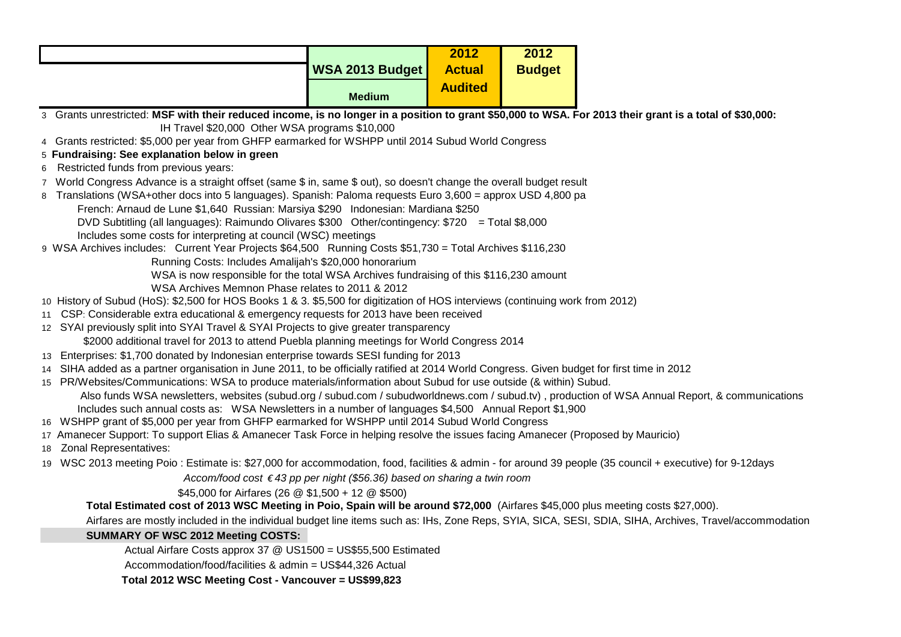|                                                                                                                                                                                                                                                          |                                                                                                                                             | 2012           | 2012          |                                                                                                                                                        |
|----------------------------------------------------------------------------------------------------------------------------------------------------------------------------------------------------------------------------------------------------------|---------------------------------------------------------------------------------------------------------------------------------------------|----------------|---------------|--------------------------------------------------------------------------------------------------------------------------------------------------------|
|                                                                                                                                                                                                                                                          | WSA 2013 Budget                                                                                                                             | <b>Actual</b>  | <b>Budget</b> |                                                                                                                                                        |
|                                                                                                                                                                                                                                                          | <b>Medium</b>                                                                                                                               | <b>Audited</b> |               |                                                                                                                                                        |
| 3 Grants unrestricted: MSF with their reduced income, is no longer in a position to grant \$50,000 to WSA. For 2013 their grant is a total of \$30,000:                                                                                                  |                                                                                                                                             |                |               |                                                                                                                                                        |
| IH Travel \$20,000 Other WSA programs \$10,000                                                                                                                                                                                                           |                                                                                                                                             |                |               |                                                                                                                                                        |
| 4 Grants restricted: \$5,000 per year from GHFP earmarked for WSHPP until 2014 Subud World Congress                                                                                                                                                      |                                                                                                                                             |                |               |                                                                                                                                                        |
| 5 Fundraising: See explanation below in green                                                                                                                                                                                                            |                                                                                                                                             |                |               |                                                                                                                                                        |
| 6 Restricted funds from previous years:                                                                                                                                                                                                                  |                                                                                                                                             |                |               |                                                                                                                                                        |
| 7 World Congress Advance is a straight offset (same \$ in, same \$ out), so doesn't change the overall budget result                                                                                                                                     |                                                                                                                                             |                |               |                                                                                                                                                        |
| 8 Translations (WSA+other docs into 5 languages). Spanish: Paloma requests Euro 3,600 = approx USD 4,800 pa                                                                                                                                              |                                                                                                                                             |                |               |                                                                                                                                                        |
| French: Arnaud de Lune \$1,640 Russian: Marsiya \$290 Indonesian: Mardiana \$250<br>DVD Subtitling (all languages): Raimundo Olivares \$300 Other/contingency: \$720 = Total \$8,000                                                                     |                                                                                                                                             |                |               |                                                                                                                                                        |
| Includes some costs for interpreting at council (WSC) meetings                                                                                                                                                                                           |                                                                                                                                             |                |               |                                                                                                                                                        |
| 9 WSA Archives includes: Current Year Projects \$64,500 Running Costs \$51,730 = Total Archives \$116,230                                                                                                                                                |                                                                                                                                             |                |               |                                                                                                                                                        |
| Running Costs: Includes Amalijah's \$20,000 honorarium                                                                                                                                                                                                   |                                                                                                                                             |                |               |                                                                                                                                                        |
| WSA is now responsible for the total WSA Archives fundraising of this \$116,230 amount                                                                                                                                                                   |                                                                                                                                             |                |               |                                                                                                                                                        |
| WSA Archives Memnon Phase relates to 2011 & 2012                                                                                                                                                                                                         |                                                                                                                                             |                |               |                                                                                                                                                        |
| 10 History of Subud (HoS): \$2,500 for HOS Books 1 & 3. \$5,500 for digitization of HOS interviews (continuing work from 2012)                                                                                                                           |                                                                                                                                             |                |               |                                                                                                                                                        |
| 11 CSP: Considerable extra educational & emergency requests for 2013 have been received                                                                                                                                                                  |                                                                                                                                             |                |               |                                                                                                                                                        |
| 12 SYAI previously split into SYAI Travel & SYAI Projects to give greater transparency                                                                                                                                                                   |                                                                                                                                             |                |               |                                                                                                                                                        |
| \$2000 additional travel for 2013 to attend Puebla planning meetings for World Congress 2014                                                                                                                                                             |                                                                                                                                             |                |               |                                                                                                                                                        |
| 13 Enterprises: \$1,700 donated by Indonesian enterprise towards SESI funding for 2013                                                                                                                                                                   |                                                                                                                                             |                |               |                                                                                                                                                        |
|                                                                                                                                                                                                                                                          | 14 SIHA added as a partner organisation in June 2011, to be officially ratified at 2014 World Congress. Given budget for first time in 2012 |                |               |                                                                                                                                                        |
| 15 PR/Websites/Communications: WSA to produce materials/information about Subud for use outside (& within) Subud.                                                                                                                                        |                                                                                                                                             |                |               |                                                                                                                                                        |
| Also funds WSA newsletters, websites (subud.org / subud.com / subudworldnews.com / subud.tv), production of WSA Annual Report, & communications<br>Includes such annual costs as: WSA Newsletters in a number of languages \$4,500 Annual Report \$1,900 |                                                                                                                                             |                |               |                                                                                                                                                        |
|                                                                                                                                                                                                                                                          |                                                                                                                                             |                |               |                                                                                                                                                        |
| 16 WSHPP grant of \$5,000 per year from GHFP earmarked for WSHPP until 2014 Subud World Congress<br>17 Amanecer Support: To support Elias & Amanecer Task Force in helping resolve the issues facing Amanecer (Proposed by Mauricio)                     |                                                                                                                                             |                |               |                                                                                                                                                        |
| 18 Zonal Representatives:                                                                                                                                                                                                                                |                                                                                                                                             |                |               |                                                                                                                                                        |
| 19 WSC 2013 meeting Poio: Estimate is: \$27,000 for accommodation, food, facilities & admin - for around 39 people (35 council + executive) for 9-12days                                                                                                 |                                                                                                                                             |                |               |                                                                                                                                                        |
| Accom/food cost €43 pp per night (\$56.36) based on sharing a twin room                                                                                                                                                                                  |                                                                                                                                             |                |               |                                                                                                                                                        |
| \$45,000 for Airfares (26 @ \$1,500 + 12 @ \$500)                                                                                                                                                                                                        |                                                                                                                                             |                |               |                                                                                                                                                        |
| Total Estimated cost of 2013 WSC Meeting in Poio, Spain will be around \$72,000 (Airfares \$45,000 plus meeting costs \$27,000).                                                                                                                         |                                                                                                                                             |                |               |                                                                                                                                                        |
|                                                                                                                                                                                                                                                          |                                                                                                                                             |                |               | Airfares are mostly included in the individual budget line items such as: IHs, Zone Reps, SYIA, SICA, SESI, SDIA, SIHA, Archives, Travel/accommodation |
| <b>SUMMARY OF WSC 2012 Meeting COSTS:</b>                                                                                                                                                                                                                |                                                                                                                                             |                |               |                                                                                                                                                        |
| Actual Airfare Costs approx 37 @ US1500 = US\$55,500 Estimated                                                                                                                                                                                           |                                                                                                                                             |                |               |                                                                                                                                                        |
| Accommodation/food/facilities & admin = US\$44,326 Actual                                                                                                                                                                                                |                                                                                                                                             |                |               |                                                                                                                                                        |
| Total 2012 WSC Meeting Cost - Vancouver = US\$99,823                                                                                                                                                                                                     |                                                                                                                                             |                |               |                                                                                                                                                        |